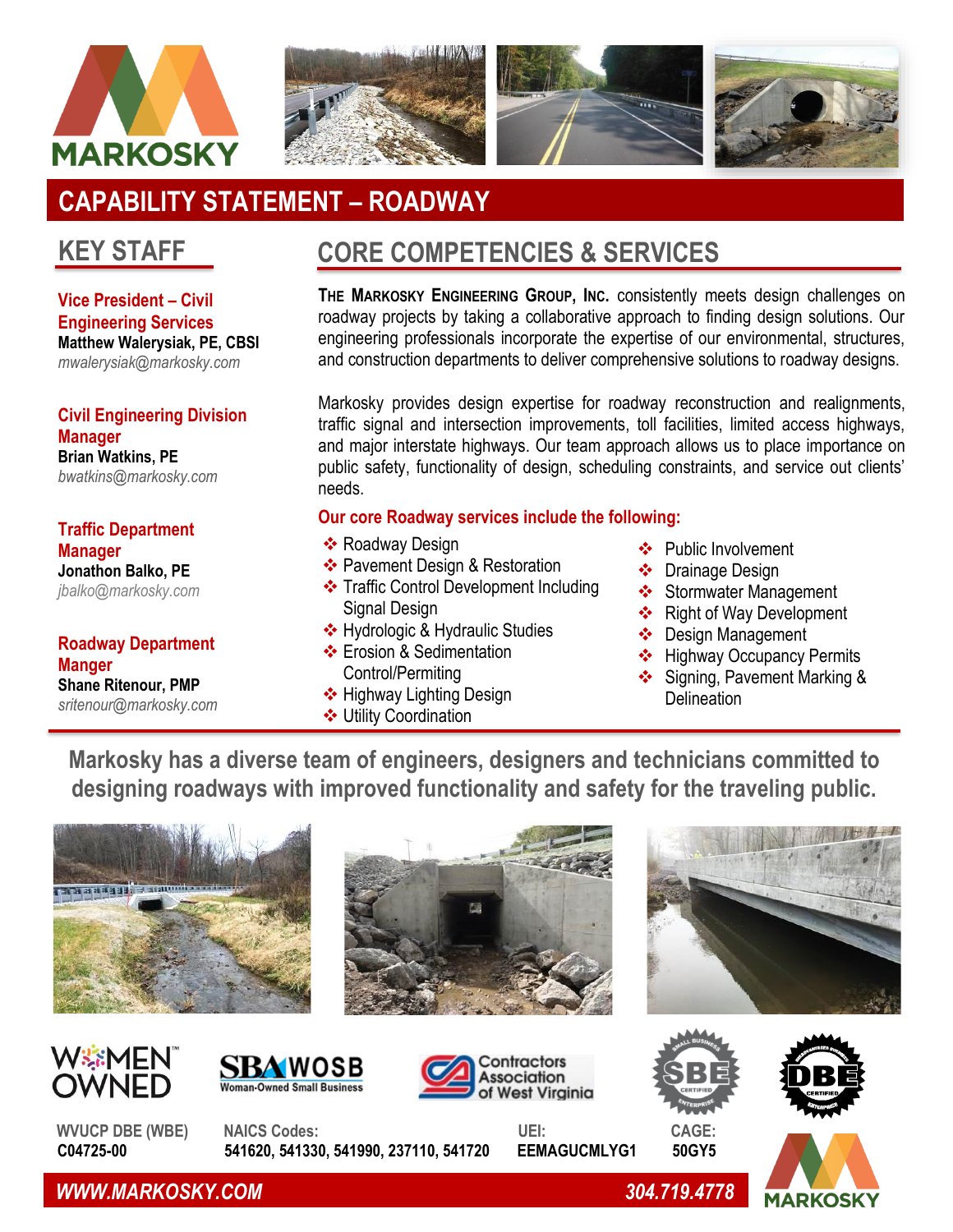



# **CAPABILITY STATEMENT – ROADWAY**

### **KEY STAFF**

**Vice President – Civil Engineering Services Matthew Walerysiak, PE, CBSI** *mwalerysiak@markosky.com*

**Civil Engineering Division Manager Brian Watkins, PE** *bwatkins@markosky.com*

**Traffic Department Manager Jonathon Balko, PE** *[jbalko@markosky.com](mailto:jbalko@markosky.com)*

**Roadway Department Manger Shane Ritenour, PMP** *sritenour@markosky.com*

## **CORE COMPETENCIES & SERVICES**

**THE MARKOSKY ENGINEERING GROUP, INC.** consistently meets design challenges on roadway projects by taking a collaborative approach to finding design solutions. Our engineering professionals incorporate the expertise of our environmental, structures, and construction departments to deliver comprehensive solutions to roadway designs.

Markosky provides design expertise for roadway reconstruction and realignments, traffic signal and intersection improvements, toll facilities, limited access highways, and major interstate highways. Our team approach allows us to place importance on public safety, functionality of design, scheduling constraints, and service out clients' needs.

#### **Our core Roadway services include the following:**

- ❖ Roadway Design
- ❖ Pavement Design & Restoration
- ❖ Traffic Control Development Including Signal Design
- ❖ Hydrologic & Hydraulic Studies
- ❖ Erosion & Sedimentation Control/Permiting
- ❖ Highway Lighting Design
- ❖ Utility Coordination
- ❖ Public Involvement
- ❖ Drainage Design
- ❖ Stormwater Management
- ❖ Right of Way Development
- ❖ Design Management
- ❖ Highway Occupancy Permits
- ❖ Signing, Pavement Marking & **Delineation**

**Markosky has a diverse team of engineers, designers and technicians committed to designing roadways with improved functionality and safety for the traveling public.**



















C04725-00 541620, 541330, 541990, 237110, 541720 EEMAGUCMLYG1



 *WWW.MARKOSKY.COM 304.719.4778*